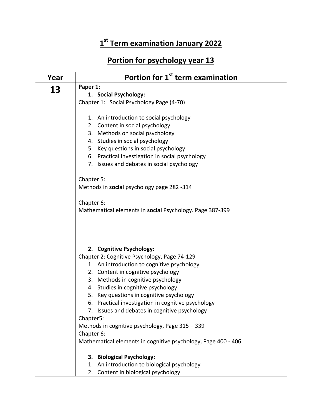## **1 st Term examination January 2022**

## **Portion for psychology year 13**

| Year | Portion for 1 <sup>st</sup> term examination                  |
|------|---------------------------------------------------------------|
| 13   | Paper 1:                                                      |
|      | 1. Social Psychology:                                         |
|      | Chapter 1: Social Psychology Page (4-70)                      |
|      | 1. An introduction to social psychology                       |
|      | 2. Content in social psychology                               |
|      | 3. Methods on social psychology                               |
|      | 4. Studies in social psychology                               |
|      | 5. Key questions in social psychology                         |
|      | 6. Practical investigation in social psychology               |
|      | 7. Issues and debates in social psychology                    |
|      | Chapter 5:                                                    |
|      | Methods in social psychology page 282 -314                    |
|      | Chapter 6:                                                    |
|      | Mathematical elements in social Psychology. Page 387-399      |
|      |                                                               |
|      | 2. Cognitive Psychology:                                      |
|      | Chapter 2: Cognitive Psychology, Page 74-129                  |
|      | 1. An introduction to cognitive psychology                    |
|      | 2. Content in cognitive psychology                            |
|      | 3. Methods in cognitive psychology                            |
|      | 4. Studies in cognitive psychology                            |
|      | 5. Key questions in cognitive psychology                      |
|      | 6. Practical investigation in cognitive psychology            |
|      | 7. Issues and debates in cognitive psychology                 |
|      | Chapter5:                                                     |
|      | Methods in cognitive psychology, Page 315 - 339               |
|      | Chapter 6:                                                    |
|      | Mathematical elements in cognitive psychology, Page 400 - 406 |
|      | 3. Biological Psychology:                                     |
|      | 1. An introduction to biological psychology                   |
|      | 2. Content in biological psychology                           |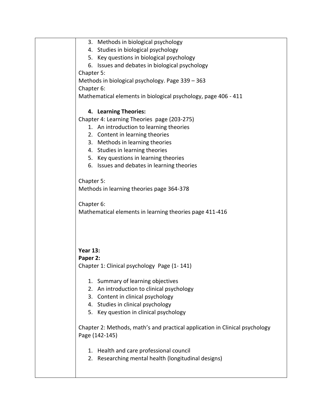3. Methods in biological psychology 4. Studies in biological psychology 5. Key questions in biological psychology 6. Issues and debates in biological psychology Chapter 5: Methods in biological psychology. Page 339 – 363 Chapter 6: Mathematical elements in biological psychology, page 406 - 411 **4. Learning Theories:**  Chapter 4: Learning Theories page (203-275) 1. An introduction to learning theories 2. Content in learning theories 3. Methods in learning theories 4. Studies in learning theories 5. Key questions in learning theories 6. Issues and debates in learning theories Chapter 5: Methods in learning theories page 364-378 Chapter 6: Mathematical elements in learning theories page 411-416 **Year 13: Paper 2:**  Chapter 1: Clinical psychology Page (1- 141) 1. Summary of learning objectives 2. An introduction to clinical psychology 3. Content in clinical psychology 4. Studies in clinical psychology 5. Key question in clinical psychology Chapter 2: Methods, math's and practical application in Clinical psychology Page (142-145) 1. Health and care professional council 2. Researching mental health (longitudinal designs)